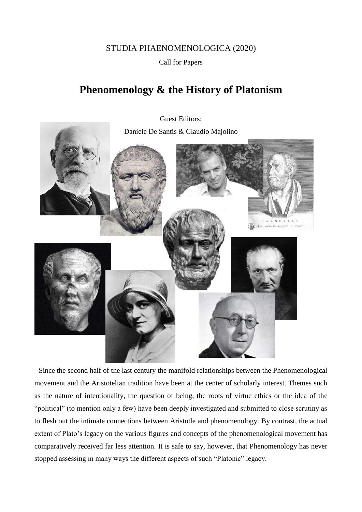## STUDIA PHAENOMENOLOGICA (2020)

Call for Papers

## **Phenomenology & the History of Platonism**

Guest Editors: Daniele De Santis & Claudio Majolino RNEAD

Since the second half of the last century the manifold relationships between the Phenomenological movement and the Aristotelian tradition have been at the center of scholarly interest. Themes such as the nature of intentionality, the question of being, the roots of virtue ethics or the idea of the "political" (to mention only a few) have been deeply investigated and submitted to close scrutiny as to flesh out the intimate connections between Aristotle and phenomenology. By contrast, the actual extent of Plato's legacy on the various figures and concepts of the phenomenological movement has comparatively received far less attention. It is safe to say, however, that Phenomenology has never stopped assessing in many ways the different aspects of such "Platonic" legacy.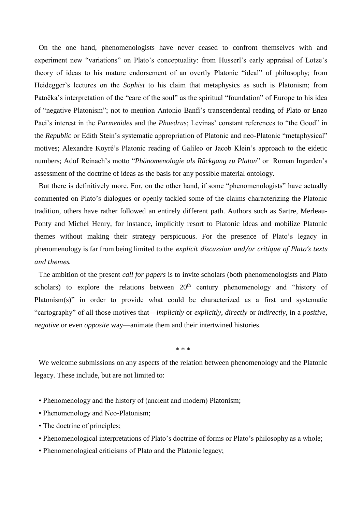On the one hand, phenomenologists have never ceased to confront themselves with and experiment new "variations" on Plato's conceptuality: from Husserl's early appraisal of Lotze's theory of ideas to his mature endorsement of an overtly Platonic "ideal" of philosophy; from Heidegger's lectures on the *Sophist* to his claim that metaphysics as such is Platonism; from Patočka's interpretation of the "care of the soul" as the spiritual "foundation" of Europe to his idea of "negative Platonism"; not to mention Antonio Banfi's transcendental reading of Plato or Enzo Paci's interest in the *Parmenides* and the *Phaedrus*; Levinas' constant references to "the Good" in the *Republic* or Edith Stein's systematic appropriation of Platonic and neo-Platonic "metaphysical" motives; Alexandre Koyré's Platonic reading of Galileo or Jacob Klein's approach to the eidetic numbers; Adof Reinach's motto "*Phänomenologie als Rückgang zu Platon*" or Roman Ingarden's assessment of the doctrine of ideas as the basis for any possible material ontology.

But there is definitively more. For, on the other hand, if some "phenomenologists" have actually commented on Plato's dialogues or openly tackled some of the claims characterizing the Platonic tradition, others have rather followed an entirely different path. Authors such as Sartre, Merleau-Ponty and Michel Henry, for instance, implicitly resort to Platonic ideas and mobilize Platonic themes without making their strategy perspicuous. For the presence of Plato's legacy in phenomenology is far from being limited to the *explicit discussion and/or critique of Plato's texts and themes.*

The ambition of the present *call for papers* is to invite scholars (both phenomenologists and Plato scholars) to explore the relations between  $20<sup>th</sup>$  century phenomenology and "history of Platonism(s)" in order to provide what could be characterized as a first and systematic "cartography" of all those motives that—*implicitly* or *explicitly*, *directly* or *indirectly*, in a *positive*, *negative* or even *opposite* way—animate them and their intertwined histories.

\* \* \*

We welcome submissions on any aspects of the relation between phenomenology and the Platonic legacy. These include, but are not limited to:

- Phenomenology and the history of (ancient and modern) Platonism;
- Phenomenology and Neo-Platonism;
- The doctrine of principles;
- Phenomenological interpretations of Plato's doctrine of forms or Plato's philosophy as a whole;
- Phenomenological criticisms of Plato and the Platonic legacy;